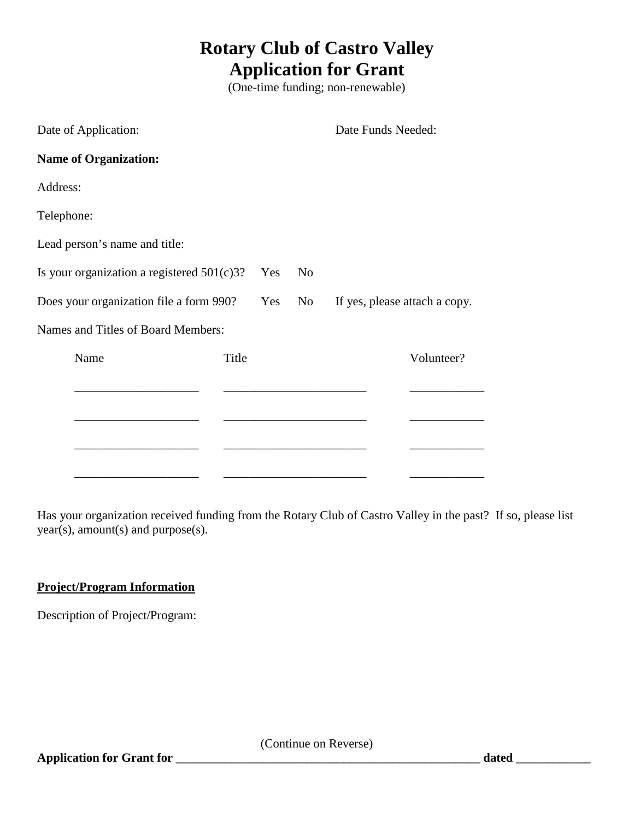## **Rotary Club of Castro Valley Application for Grant**

(One-time funding; non-renewable)

| Date of Application:                          |     |                | Date Funds Needed:            |            |
|-----------------------------------------------|-----|----------------|-------------------------------|------------|
| <b>Name of Organization:</b>                  |     |                |                               |            |
| Address:                                      |     |                |                               |            |
| Telephone:                                    |     |                |                               |            |
| Lead person's name and title:                 |     |                |                               |            |
| Is your organization a registered $501(c)3$ ? | Yes | N <sub>o</sub> |                               |            |
| Does your organization file a form 990?       |     | Yes<br>No r    | If yes, please attach a copy. |            |
| Names and Titles of Board Members:            |     |                |                               |            |
| Name<br>Title                                 |     |                |                               | Volunteer? |
|                                               |     |                |                               |            |
|                                               |     |                |                               |            |
|                                               |     |                |                               |            |

\_\_\_\_\_\_\_\_\_\_\_\_\_\_\_\_\_\_\_\_ \_\_\_\_\_\_\_\_\_\_\_\_\_\_\_\_\_\_\_\_\_\_\_ \_\_\_\_\_\_\_\_\_\_\_\_

Has your organization received funding from the Rotary Club of Castro Valley in the past? If so, please list year(s), amount(s) and purpose(s).

## **Project/Program Information**

Description of Project/Program:

(Continue on Reverse)

**Application for Grant for \_\_\_\_\_\_\_\_\_\_\_\_\_\_\_\_\_\_\_\_\_\_\_\_\_\_\_\_\_\_\_\_\_\_\_\_\_\_\_\_\_\_\_\_\_\_\_\_\_ dated \_\_\_\_\_\_\_\_\_\_\_\_**